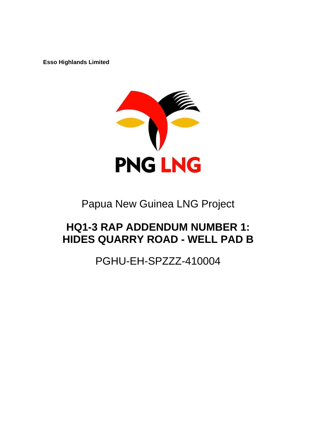**Esso Highlands Limited** 



# Papua New Guinea LNG Project

# **HQ1-3 RAP ADDENDUM NUMBER 1: HIDES QUARRY ROAD - WELL PAD B**

PGHU-EH-SPZZZ-410004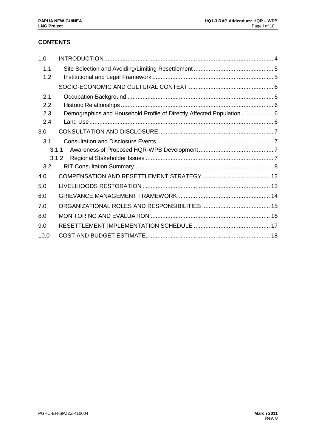# **CONTENTS**

| 1.0  |                                                                       |  |
|------|-----------------------------------------------------------------------|--|
| 1.1  |                                                                       |  |
| 1.2  |                                                                       |  |
|      |                                                                       |  |
| 2.1  |                                                                       |  |
| 2.2  |                                                                       |  |
| 2.3  | Demographics and Household Profile of Directly Affected Population  6 |  |
| 2.4  |                                                                       |  |
| 3.0  |                                                                       |  |
| 3.1  |                                                                       |  |
|      | 3.1.1                                                                 |  |
|      | 3.1.2                                                                 |  |
| 3.2  |                                                                       |  |
| 4.0  |                                                                       |  |
| 5.0  |                                                                       |  |
| 6.0  |                                                                       |  |
| 7.0  |                                                                       |  |
| 8.0  |                                                                       |  |
| 9.0  |                                                                       |  |
| 10.0 |                                                                       |  |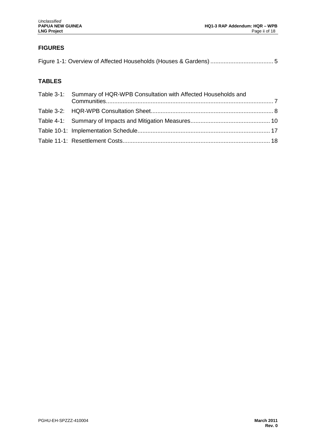# **FIGURES**

# **TABLES**

| Table 3-1: Summary of HQR-WPB Consultation with Affected Households and |  |
|-------------------------------------------------------------------------|--|
|                                                                         |  |
|                                                                         |  |
|                                                                         |  |
|                                                                         |  |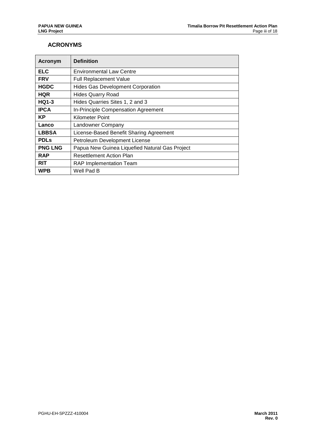## **ACRONYMS**

| <b>Acronym</b> | <b>Definition</b>                              |
|----------------|------------------------------------------------|
| <b>ELC</b>     | <b>Environmental Law Centre</b>                |
| <b>FRV</b>     | <b>Full Replacement Value</b>                  |
| <b>HGDC</b>    | <b>Hides Gas Development Corporation</b>       |
| <b>HQR</b>     | <b>Hides Quarry Road</b>                       |
| <b>HQ1-3</b>   | Hides Quarries Sites 1, 2 and 3                |
| <b>IPCA</b>    | In-Principle Compensation Agreement            |
| <b>KP</b>      | <b>Kilometer Point</b>                         |
| Lanco          | Landowner Company                              |
| <b>LBBSA</b>   | License-Based Benefit Sharing Agreement        |
| <b>PDLs</b>    | Petroleum Development License                  |
| <b>PNG LNG</b> | Papua New Guinea Liquefied Natural Gas Project |
| <b>RAP</b>     | <b>Resettlement Action Plan</b>                |
| <b>RIT</b>     | RAP Implementation Team                        |
| <b>WPB</b>     | Well Pad B                                     |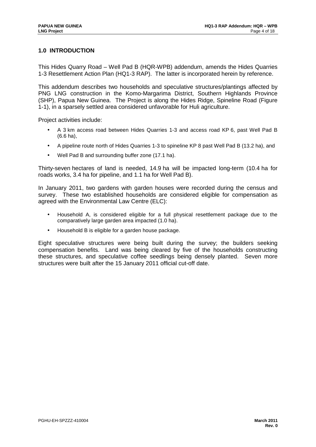## **1.0 INTRODUCTION**

This Hides Quarry Road – Well Pad B (HQR-WPB) addendum, amends the Hides Quarries 1-3 Resettlement Action Plan (HQ1-3 RAP). The latter is incorporated herein by reference.

This addendum describes two households and speculative structures/plantings affected by PNG LNG construction in the Komo-Margarima District, Southern Highlands Province (SHP), Papua New Guinea. The Project is along the Hides Ridge, Spineline Road (Figure 1-1), in a sparsely settled area considered unfavorable for Huli agriculture.

Project activities include:

- A 3 km access road between Hides Quarries 1-3 and access road KP 6, past Well Pad B (6.6 ha),
- A pipeline route north of Hides Quarries 1-3 to spineline KP 8 past Well Pad B (13.2 ha), and
- Well Pad B and surrounding buffer zone (17.1 ha).

Thirty-seven hectares of land is needed, 14.9 ha will be impacted long-term (10.4 ha for roads works, 3.4 ha for pipeline, and 1.1 ha for Well Pad B).

In January 2011, two gardens with garden houses were recorded during the census and survey. These two established households are considered eligible for compensation as agreed with the Environmental Law Centre (ELC):

- Household A, is considered eligible for a full physical resettlement package due to the comparatively large garden area impacted (1.0 ha).
- Household B is eligible for a garden house package.

Eight speculative structures were being built during the survey; the builders seeking compensation benefits. Land was being cleared by five of the households constructing these structures, and speculative coffee seedlings being densely planted. Seven more structures were built after the 15 January 2011 official cut-off date.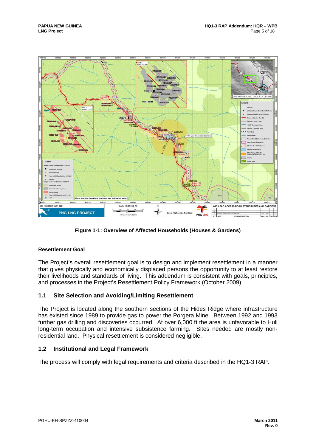

**Figure 1-1: Overview of Affected Households (Houses & Gardens)** 

## **Resettlement Goal**

The Project's overall resettlement goal is to design and implement resettlement in a manner that gives physically and economically displaced persons the opportunity to at least restore their livelihoods and standards of living. This addendum is consistent with goals, principles, and processes in the Project's Resettlement Policy Framework (October 2009).

## **1.1 Site Selection and Avoiding/Limiting Resettlement**

The Project is located along the southern sections of the Hides Ridge where infrastructure has existed since 1989 to provide gas to power the Porgera Mine. Between 1992 and 1993 further gas drilling and discoveries occurred. At over 6,000 ft the area is unfavorable to Huli long-term occupation and intensive subsistence farming. Sites needed are mostly nonresidential land. Physical resettlement is considered negligible.

## **1.2 Institutional and Legal Framework**

The process will comply with legal requirements and criteria described in the HQ1-3 RAP.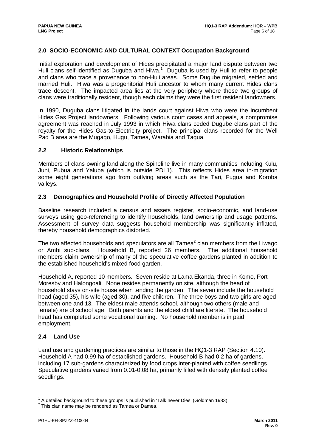## **2.0 SOCIO-ECONOMIC AND CULTURAL CONTEXT Occupation Background**

Initial exploration and development of Hides precipitated a major land dispute between two Huli clans self-identified as Duguba and Hiwa. $1$  Duguba is used by Huli to refer to people and clans who trace a provenance to non-Huli areas. Some Dugube migrated, settled and married Huli. Hiwa was a progenitorial Huli ancestor to whom many current Hides clans trace descent. The impacted area lies at the very periphery where these two groups of clans were traditionally resident, though each claims they were the first resident landowners.

In 1990, Duguba clans litigated in the lands court against Hiwa who were the incumbent Hides Gas Project landowners. Following various court cases and appeals, a compromise agreement was reached in July 1993 in which Hiwa clans ceded Dugube clans part of the royalty for the Hides Gas-to-Electricity project. The principal clans recorded for the Well Pad B area are the Mugago, Hugu, Tamea, Warabia and Tagua.

#### **2.2 Historic Relationships**

Members of clans owning land along the Spineline live in many communities including Kulu, Juni, Pubua and Yaluba (which is outside PDL1). This reflects Hides area in-migration some eight generations ago from outlying areas such as the Tari, Fugua and Koroba valleys.

## **2.3 Demographics and Household Profile of Directly Affected Population**

Baseline research included a census and assets register, socio-economic, and land-use surveys using geo-referencing to identify households, land ownership and usage patterns. Assessment of survey data suggests household membership was significantly inflated, thereby household demographics distorted.

The two affected households and speculators are all Tamea $^2$  clan members from the Liwago or Ambi sub-clans. Household B, reported 26 members. The additional household members claim ownership of many of the speculative coffee gardens planted in addition to the established household's mixed food garden.

Household A, reported 10 members. Seven reside at Lama Ekanda, three in Komo, Port Moresby and Halongoali. None resides permanently on site, although the head of household stays on-site house when tending the garden. The seven include the household head (aged 35), his wife (aged 30), and five children. The three boys and two girls are aged between one and 13. The eldest male attends school, although two others (male and female) are of school age. Both parents and the eldest child are literate. The household head has completed some vocational training. No household member is in paid employment.

## **2.4 Land Use**

Land use and gardening practices are similar to those in the HQ1-3 RAP (Section 4.10). Household A had 0.99 ha of established gardens. Household B had 0.2 ha of gardens, including 17 sub-gardens characterized by food crops inter-planted with coffee seedlings. Speculative gardens varied from 0.01-0.08 ha, primarily filled with densely planted coffee seedlings.

 $1$  A detailed background to these groups is published in 'Talk never Dies' (Goldman 1983).

<sup>&</sup>lt;sup>2</sup> This clan name may be rendered as Tamea or Damea.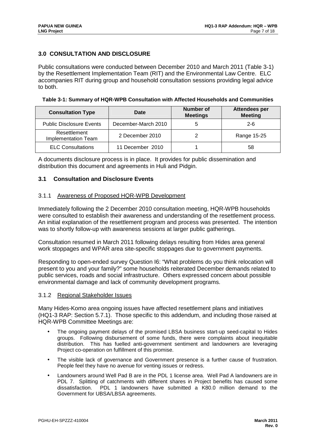## **3.0 CONSULTATION AND DISCLOSURE**

Public consultations were conducted between December 2010 and March 2011 (Table 3-1) by the Resettlement Implementation Team (RIT) and the Environmental Law Centre. ELC accompanies RIT during group and household consultation sessions providing legal advice to both.

**Table 3-1: Summary of HQR-WPB Consultation with Affected Households and Communities** 

| <b>Consultation Type</b>                                      | Date                | <b>Number of</b><br><b>Meetings</b> | Attendees per<br><b>Meeting</b> |
|---------------------------------------------------------------|---------------------|-------------------------------------|---------------------------------|
| <b>Public Disclosure Events</b>                               | December-March 2010 |                                     | $2 - 6$                         |
| Resettlement<br>2 December 2010<br><b>Implementation Team</b> |                     |                                     | Range 15-25                     |
| <b>ELC Consultations</b>                                      | 11 December 2010    |                                     | 58                              |

A documents disclosure process is in place. It provides for public dissemination and distribution this document and agreements in Huli and Pidgin.

#### **3.1 Consultation and Disclosure Events**

#### 3.1.1 Awareness of Proposed HQR-WPB Development

Immediately following the 2 December 2010 consultation meeting, HQR-WPB households were consulted to establish their awareness and understanding of the resettlement process. An initial explanation of the resettlement program and process was presented. The intention was to shortly follow-up with awareness sessions at larger public gatherings.

Consultation resumed in March 2011 following delays resulting from Hides area general work stoppages and WPAR area site-specific stoppages due to government payments.

Responding to open-ended survey Question I6: "What problems do you think relocation will present to you and your family?" some households reiterated December demands related to public services, roads and social infrastructure. Others expressed concern about possible environmental damage and lack of community development programs.

#### 3.1.2 Regional Stakeholder Issues

Many Hides-Komo area ongoing issues have affected resettlement plans and initiatives (HQ1-3 RAP: Section 5.7.1). Those specific to this addendum, and including those raised at HQR-WPB Committee Meetings are:

- The ongoing payment delays of the promised LBSA business start-up seed-capital to Hides groups. Following disbursement of some funds, there were complaints about inequitable distribution. This has fuelled anti-government sentiment and landowners are leveraging Project co-operation on fulfillment of this promise.
- The visible lack of governance and Government presence is a further cause of frustration. People feel they have no avenue for venting issues or redress.
- Landowners around Well Pad B are in the PDL 1 license area. Well Pad A landowners are in PDL 7. Splitting of catchments with different shares in Project benefits has caused some dissatisfaction. PDL 1 landowners have submitted a K80.0 million demand to the Government for UBSA/LBSA agreements.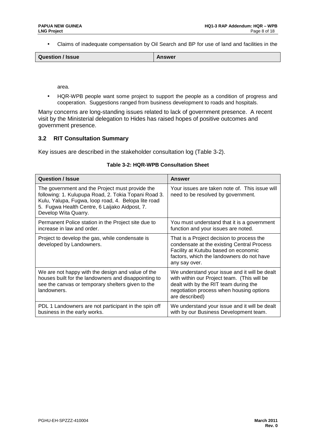• Claims of inadequate compensation by Oil Search and BP for use of land and facilities in the

|--|

area.

• HQR-WPB people want some project to support the people as a condition of progress and cooperation. Suggestions ranged from business development to roads and hospitals.

Many concerns are long-standing issues related to lack of government presence. A recent visit by the Ministerial delegation to Hides has raised hopes of positive outcomes and government presence.

## **3.2 RIT Consultation Summary**

Key issues are described in the stakeholder consultation log (Table 3-2).

| <b>Question / Issue</b>                                                                                                                                                                                                                 | Answer                                                                                                                                                                                              |
|-----------------------------------------------------------------------------------------------------------------------------------------------------------------------------------------------------------------------------------------|-----------------------------------------------------------------------------------------------------------------------------------------------------------------------------------------------------|
| The government and the Project must provide the<br>following: 1. Kulupupa Road, 2. Tokia Topani Road 3.<br>Kulu, Yalupa, Fugwa, loop road, 4. Belopa lite road<br>5. Fugwa Health Centre, 6 Laijako Aidpost, 7.<br>Develop Wita Quarry. | Your issues are taken note of. This issue will<br>need to be resolved by government.                                                                                                                |
| Permanent Police station in the Project site due to<br>increase in law and order.                                                                                                                                                       | You must understand that it is a government<br>function and your issues are noted.                                                                                                                  |
| Project to develop the gas, while condensate is<br>developed by Landowners.                                                                                                                                                             | That is a Project decision to process the<br>condensate at the existing Central Process<br>Facility at Kutubu based on economic<br>factors, which the landowners do not have<br>any say over.       |
| We are not happy with the design and value of the<br>houses built for the landowners and disappointing to<br>see the canvas or temporary shelters given to the<br>landowners.                                                           | We understand your issue and it will be dealt<br>with within our Project team. (This will be<br>dealt with by the RIT team during the<br>negotiation process when housing options<br>are described) |
| PDL 1 Landowners are not participant in the spin off<br>business in the early works.                                                                                                                                                    | We understand your issue and it will be dealt<br>with by our Business Development team.                                                                                                             |

## **Table 3-2: HQR-WPB Consultation Sheet**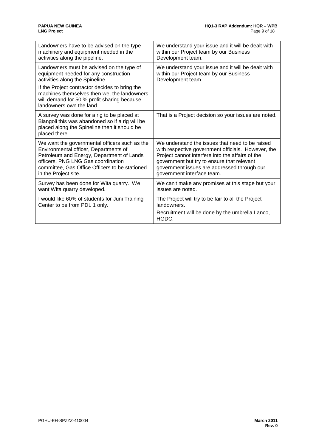| Landowners have to be advised on the type                                                                                                                                | We understand your issue and it will be dealt with       |
|--------------------------------------------------------------------------------------------------------------------------------------------------------------------------|----------------------------------------------------------|
| machinery and equipment needed in the                                                                                                                                    | within our Project team by our Business                  |
| activities along the pipeline.                                                                                                                                           | Development team.                                        |
| Landowners must be advised on the type of                                                                                                                                | We understand your issue and it will be dealt with       |
| equipment needed for any construction                                                                                                                                    | within our Project team by our Business                  |
| activities along the Spineline.                                                                                                                                          | Development team.                                        |
| If the Project contractor decides to bring the<br>machines themselves then we, the landowners<br>will demand for 50 % profit sharing because<br>landowners own the land. |                                                          |
| A survey was done for a rig to be placed at<br>Biangoli this was abandoned so if a rig will be<br>placed along the Spineline then it should be<br>placed there.          | That is a Project decision so your issues are noted.     |
| We want the governmental officers such as the                                                                                                                            | We understand the issues that need to be raised          |
| Environmental officer, Departments of                                                                                                                                    | with respective government officials. However, the       |
| Petroleum and Energy, Department of Lands                                                                                                                                | Project cannot interfere into the affairs of the         |
| officers, PNG LNG Gas coordination                                                                                                                                       | government but try to ensure that relevant               |
| committee, Gas Office Officers to be stationed                                                                                                                           | government issues are addressed through our              |
| in the Project site.                                                                                                                                                     | government interface team.                               |
| Survey has been done for Wita quarry. We                                                                                                                                 | We can't make any promises at this stage but your        |
| want Wita quarry developed.                                                                                                                                              | issues are noted.                                        |
| I would like 60% of students for Juni Training                                                                                                                           | The Project will try to be fair to all the Project       |
| Center to be from PDL 1 only.                                                                                                                                            | landowners.                                              |
|                                                                                                                                                                          | Recruitment will be done by the umbrella Lanco,<br>HGDC. |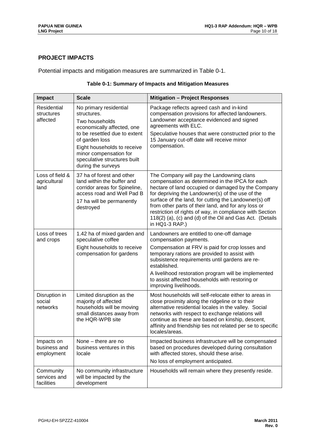## **PROJECT IMPACTS**

Potential impacts and mitigation measures are summarized in Table 0-1.

| Table 0-1: Summary of Impacts and Mitigation Measures |  |
|-------------------------------------------------------|--|
|-------------------------------------------------------|--|

| <b>Impact</b>                            | <b>Scale</b>                                                                                                                                                                                                                                            | <b>Mitigation - Project Responses</b>                                                                                                                                                                                                                                                                                                                                                                                                                            |
|------------------------------------------|---------------------------------------------------------------------------------------------------------------------------------------------------------------------------------------------------------------------------------------------------------|------------------------------------------------------------------------------------------------------------------------------------------------------------------------------------------------------------------------------------------------------------------------------------------------------------------------------------------------------------------------------------------------------------------------------------------------------------------|
| Residential<br>structures<br>affected    | No primary residential<br>structures.<br>Two households<br>economically affected, one<br>to be resettled due to extent<br>of garden loss<br>Eight households to receive<br>minor compensation for<br>speculative structures built<br>during the surveys | Package reflects agreed cash and in-kind<br>compensation provisions for affected landowners.<br>Landowner acceptance evidenced and signed<br>agreements with ELC.<br>Speculative houses that were constructed prior to the<br>15 January cut-off date will receive minor<br>compensation.                                                                                                                                                                        |
| Loss of field &<br>agricultural<br>land  | 37 ha of forest and other<br>land within the buffer and<br>corridor areas for Spineline,<br>access road and Well Pad B<br>17 ha will be permanently<br>destroyed                                                                                        | The Company will pay the Landowning clans<br>compensation as determined in the IPCA for each<br>hectare of land occupied or damaged by the Company<br>for depriving the Landowner(s) of the use of the<br>surface of the land, for cutting the Landowner(s) off<br>from other parts of their land, and for any loss or<br>restriction of rights of way, in compliance with Section<br>118(2) (a), (c) and (d) of the Oil and Gas Act. (Details<br>in HQ1-3 RAP.) |
| Loss of trees<br>and crops               | 1.42 ha of mixed garden and<br>speculative coffee<br>Eight households to receive<br>compensation for gardens                                                                                                                                            | Landowners are entitled to one-off damage<br>compensation payments.<br>Compensation at FRV is paid for crop losses and<br>temporary rations are provided to assist with<br>subsistence requirements until gardens are re-<br>established.<br>A livelihood restoration program will be implemented<br>to assist affected households with restoring or<br>improving livelihoods.                                                                                   |
| Disruption in<br>social<br>networks      | Limited disruption as the<br>majority of affected<br>households will be moving<br>small distances away from<br>the HQR-WPB site                                                                                                                         | Most households will self-relocate either to areas in<br>close proximity along the ridgeline or to their<br>alternative residential locales in the valley. Social<br>networks with respect to exchange relations will<br>continue as these are based on kinship, descent,<br>affinity and friendship ties not related per se to specific<br>locales/areas.                                                                                                       |
| Impacts on<br>business and<br>employment | None $-$ there are no<br>business ventures in this<br>locale                                                                                                                                                                                            | Impacted business infrastructure will be compensated<br>based on procedures developed during consultation<br>with affected stores, should these arise.<br>No loss of employment anticipated.                                                                                                                                                                                                                                                                     |
| Community<br>services and<br>facilities  | No community infrastructure<br>will be impacted by the<br>development                                                                                                                                                                                   | Households will remain where they presently reside.                                                                                                                                                                                                                                                                                                                                                                                                              |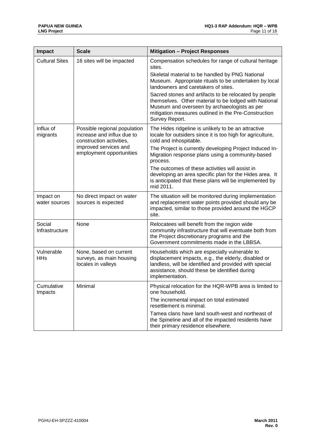| <b>Impact</b>              | <b>Scale</b>                                                                           | <b>Mitigation - Project Responses</b>                                                                                                                                                                                                    |  |  |  |  |
|----------------------------|----------------------------------------------------------------------------------------|------------------------------------------------------------------------------------------------------------------------------------------------------------------------------------------------------------------------------------------|--|--|--|--|
| <b>Cultural Sites</b>      | 16 sites will be impacted                                                              | Compensation schedules for range of cultural heritage<br>sites.                                                                                                                                                                          |  |  |  |  |
|                            |                                                                                        | Skeletal material to be handled by PNG National<br>Museum. Appropriate rituals to be undertaken by local<br>landowners and caretakers of sites.                                                                                          |  |  |  |  |
|                            |                                                                                        | Sacred stones and artifacts to be relocated by people<br>themselves. Other material to be lodged with National<br>Museum and overseen by archaeologists as per<br>mitigation measures outlined in the Pre-Construction<br>Survey Report. |  |  |  |  |
| Influx of<br>migrants      | Possible regional population<br>increase and influx due to<br>construction activities, | The Hides ridgeline is unlikely to be an attractive<br>locale for outsiders since it is too high for agriculture,<br>cold and inhospitable.                                                                                              |  |  |  |  |
|                            | improved services and<br>employment opportunities                                      | The Project is currently developing Project Induced In-<br>Migration response plans using a community-based<br>process.                                                                                                                  |  |  |  |  |
|                            |                                                                                        | The outcomes of these activities will assist in<br>developing an area specific plan for the Hides area. It<br>is anticipated that these plans will be implemented by<br>mid 2011.                                                        |  |  |  |  |
| Impact on<br>water sources | No direct impact on water<br>sources is expected                                       | The situation will be monitored during implementation<br>and replacement water points provided should any be<br>impacted, similar to those provided around the HGCP<br>site.                                                             |  |  |  |  |
| Social<br>Infrastructure   | None                                                                                   | Relocatees will benefit from the region wide<br>community infrastructure that will eventuate both from<br>the Project discretionary programs and the<br>Government commitments made in the LBBSA.                                        |  |  |  |  |
| Vulnerable<br><b>HHs</b>   | None, based on current<br>surveys, as main housing<br>locales in valleys               | Households which are especially vulnerable to<br>displacement impacts, e.g., the elderly, disabled or<br>landless, will be identified and provided with special<br>assistance, should these be identified during<br>implementation.      |  |  |  |  |
| Cumulative<br>Impacts      | Minimal                                                                                | Physical relocation for the HQR-WPB area is limited to<br>one household.                                                                                                                                                                 |  |  |  |  |
|                            |                                                                                        | The incremental impact on total estimated<br>resettlement is minimal.                                                                                                                                                                    |  |  |  |  |
|                            |                                                                                        | Tamea clans have land south-west and northeast of<br>the Spineline and all of the impacted residents have<br>their primary residence elsewhere.                                                                                          |  |  |  |  |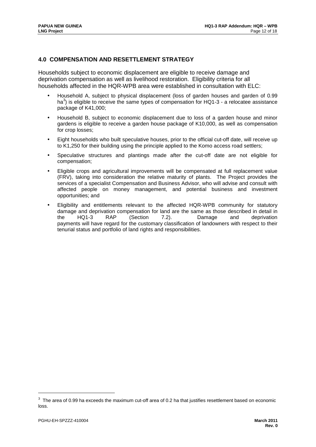## **4.0 COMPENSATION AND RESETTLEMENT STRATEGY**

Households subject to economic displacement are eligible to receive damage and deprivation compensation as well as livelihood restoration. Eligibility criteria for all households affected in the HQR-WPB area were established in consultation with ELC:

- Household A, subject to physical displacement (loss of garden houses and garden of 0.99 ha<sup>3</sup>) is eligible to receive the same types of compensation for HQ1-3 - a relocatee assistance package of K41,000;
- Household B, subject to economic displacement due to loss of a garden house and minor gardens is eligible to receive a garden house package of K10,000, as well as compensation for crop losses;
- Eight households who built speculative houses, prior to the official cut-off date, will receive up to K1,250 for their building using the principle applied to the Komo access road settlers;
- Speculative structures and plantings made after the cut-off date are not eligible for compensation;
- Eligible crops and agricultural improvements will be compensated at full replacement value (FRV), taking into consideration the relative maturity of plants. The Project provides the services of a specialist Compensation and Business Advisor, who will advise and consult with affected people on money management, and potential business and investment opportunities; and
- Eligibility and entitlements relevant to the affected HQR-WPB community for statutory damage and deprivation compensation for land are the same as those described in detail in the HQ1-3 RAP (Section 7.2). Damage and deprivation payments will have regard for the customary classification of landowners with respect to their tenurial status and portfolio of land rights and responsibilities.

 $3$  The area of 0.99 ha exceeds the maximum cut-off area of 0.2 ha that justifies resettlement based on economic loss.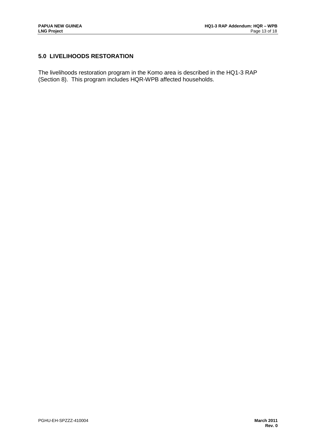# **5.0 LIVELIHOODS RESTORATION**

The livelihoods restoration program in the Komo area is described in the HQ1-3 RAP (Section 8). This program includes HQR-WPB affected households.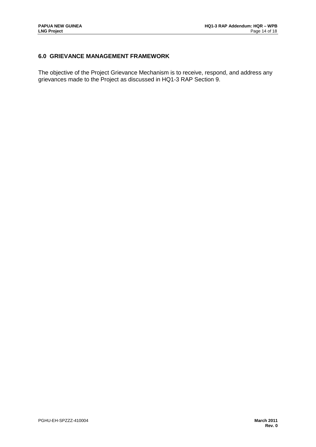# **6.0 GRIEVANCE MANAGEMENT FRAMEWORK**

The objective of the Project Grievance Mechanism is to receive, respond, and address any grievances made to the Project as discussed in HQ1-3 RAP Section 9.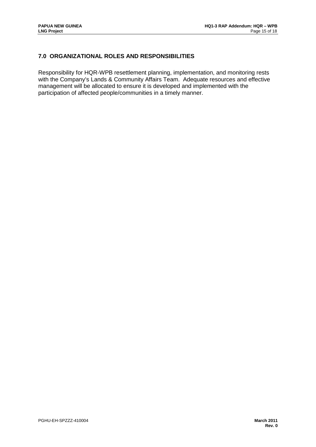# **7.0 ORGANIZATIONAL ROLES AND RESPONSIBILITIES**

Responsibility for HQR-WPB resettlement planning, implementation, and monitoring rests with the Company's Lands & Community Affairs Team. Adequate resources and effective management will be allocated to ensure it is developed and implemented with the participation of affected people/communities in a timely manner.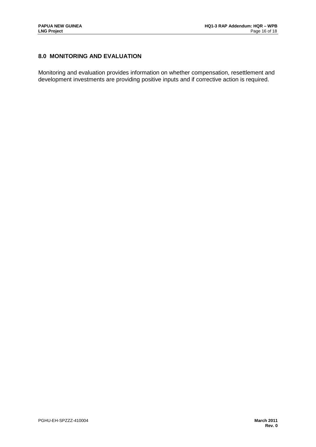# **8.0 MONITORING AND EVALUATION**

Monitoring and evaluation provides information on whether compensation, resettlement and development investments are providing positive inputs and if corrective action is required.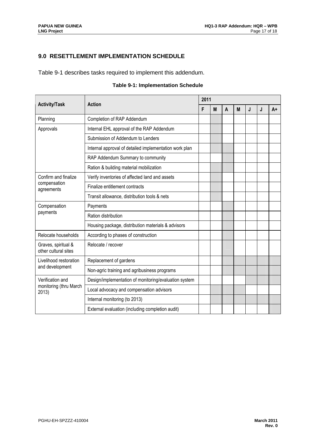# **9.0 RESETTLEMENT IMPLEMENTATION SCHEDULE**

Table 9-1 describes tasks required to implement this addendum.

## **Table 9-1: Implementation Schedule**

| <b>Activity/Task</b>                        | <b>Action</b>                                          |  | 2011 |   |   |   |   |      |  |  |
|---------------------------------------------|--------------------------------------------------------|--|------|---|---|---|---|------|--|--|
|                                             |                                                        |  | M    | A | M | J | J | $A+$ |  |  |
| Planning                                    | Completion of RAP Addendum                             |  |      |   |   |   |   |      |  |  |
| Approvals                                   | Internal EHL approval of the RAP Addendum              |  |      |   |   |   |   |      |  |  |
|                                             | Submission of Addendum to Lenders                      |  |      |   |   |   |   |      |  |  |
|                                             | Internal approval of detailed implementation work plan |  |      |   |   |   |   |      |  |  |
|                                             | RAP Addendum Summary to community                      |  |      |   |   |   |   |      |  |  |
|                                             | Ration & building material mobilization                |  |      |   |   |   |   |      |  |  |
| Confirm and finalize                        | Verify inventories of affected land and assets         |  |      |   |   |   |   |      |  |  |
| compensation<br>agreements                  | Finalize entitlement contracts                         |  |      |   |   |   |   |      |  |  |
|                                             | Transit allowance, distribution tools & nets           |  |      |   |   |   |   |      |  |  |
| Compensation                                | Payments                                               |  |      |   |   |   |   |      |  |  |
| payments                                    | Ration distribution                                    |  |      |   |   |   |   |      |  |  |
|                                             | Housing package, distribution materials & advisors     |  |      |   |   |   |   |      |  |  |
| Relocate households                         | According to phases of construction                    |  |      |   |   |   |   |      |  |  |
| Graves, spiritual &<br>other cultural sites | Relocate / recover                                     |  |      |   |   |   |   |      |  |  |
| Livelihood restoration                      | Replacement of gardens                                 |  |      |   |   |   |   |      |  |  |
| and development                             | Non-agric training and agribusiness programs           |  |      |   |   |   |   |      |  |  |
| Verification and                            | Design/implementation of monitoring/evaluation system  |  |      |   |   |   |   |      |  |  |
| monitoring (thru March<br>2013)             | Local advocacy and compensation advisors               |  |      |   |   |   |   |      |  |  |
|                                             | Internal monitoring (to 2013)                          |  |      |   |   |   |   |      |  |  |
|                                             | External evaluation (including completion audit)       |  |      |   |   |   |   |      |  |  |